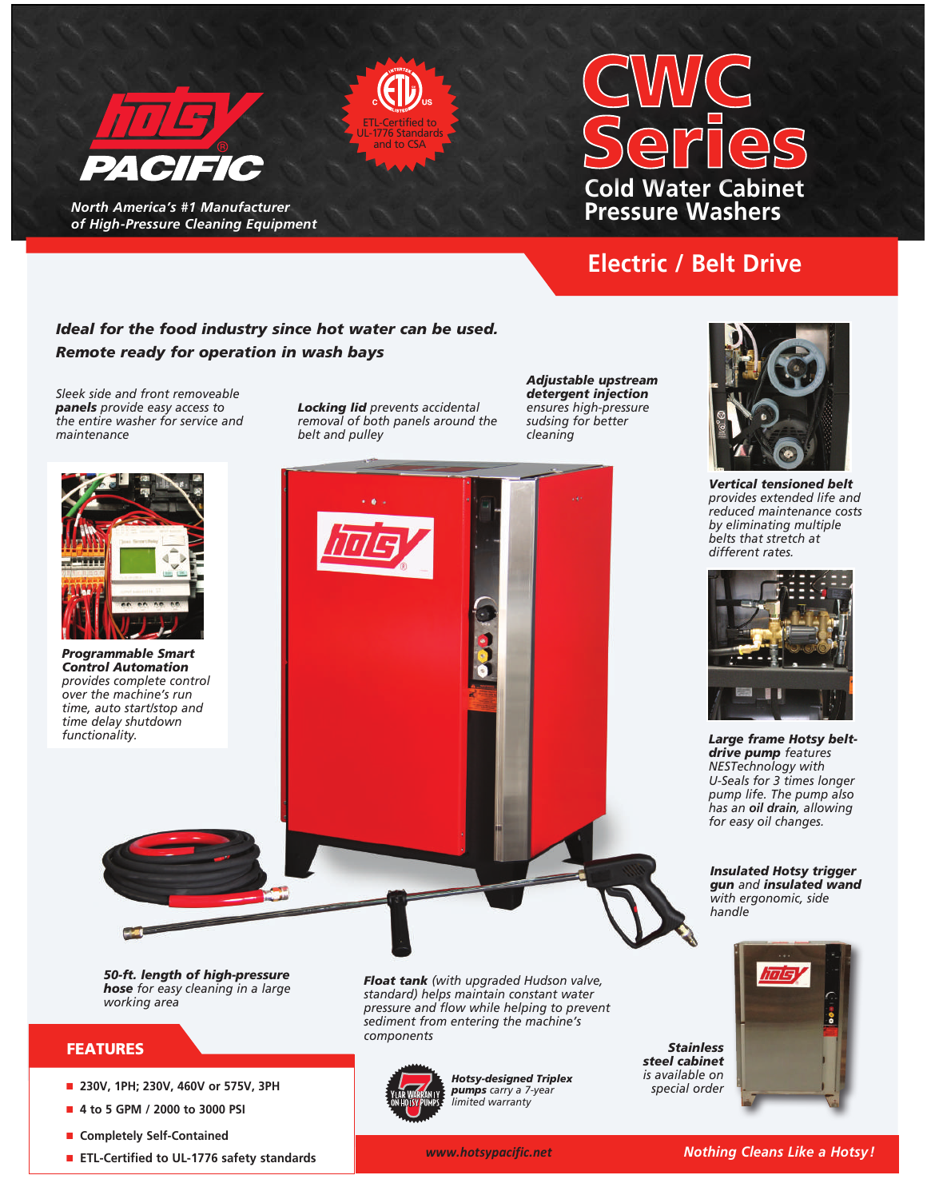

*North America's #1 Manufacturer of High-Pressure Cleaning Equipment* 

# **Cold Water Cabinet Pressure Washers**

## **Electric / Belt Drive**

## *Ideal for the food industry since hot water can be used. Remote ready for operation in wash bays*

*Sleek side and front removeable panels provide easy access to the entire washer for service and maintenance*

*Locking lid prevents accidental removal of both panels around the belt and pulley*

ETL-Certified to UL-1776 Standards and to CSA

> *Adjustable upstream detergent injection ensures high-pressure sudsing for better cleaning*





*Vertical tensioned belt provides extended life and reduced maintenance costs by eliminating multiple belts that stretch at different rates.* 



*Large frame Hotsy beltdrive pump features NESTechnology with U-Seals for 3 times longer pump life. The pump also has an oil drain, allowing for easy oil changes.*

*Insulated Hotsy trigger gun and insulated wand with ergonomic, side handle*



- 4 to 5 GPM / 2000 to 3000 PSI
- Completely Self-Contained
- **ETL-Certified to UL-1776 safety standards**

*limited warranty*